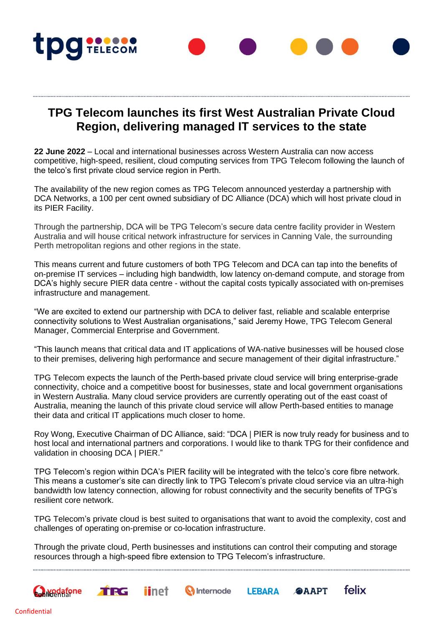

# **TPG Telecom launches its first West Australian Private Cloud Region, delivering managed IT services to the state**

**22 June 2022** – Local and international businesses across Western Australia can now access competitive, high-speed, resilient, cloud computing services from TPG Telecom following the launch of the telco's first private cloud service region in Perth.

The availability of the new region comes as TPG Telecom announced yesterday a partnership with DCA Networks, a 100 per cent owned subsidiary of DC Alliance (DCA) which will host private cloud in its PIER Facility.

Through the partnership, DCA will be TPG Telecom's secure data centre facility provider in Western Australia and will house critical network infrastructure for services in Canning Vale, the surrounding Perth metropolitan regions and other regions in the state.

This means current and future customers of both TPG Telecom and DCA can tap into the benefits of on-premise IT services – including high bandwidth, low latency on-demand compute, and storage from DCA's highly secure PIER data centre - without the capital costs typically associated with on-premises infrastructure and management.

"We are excited to extend our partnership with DCA to deliver fast, reliable and scalable enterprise connectivity solutions to West Australian organisations," said Jeremy Howe, TPG Telecom General Manager, Commercial Enterprise and Government.

"This launch means that critical data and IT applications of WA-native businesses will be housed close to their premises, delivering high performance and secure management of their digital infrastructure."

TPG Telecom expects the launch of the Perth-based private cloud service will bring enterprise-grade connectivity, choice and a competitive boost for businesses, state and local government organisations in Western Australia. Many cloud service providers are currently operating out of the east coast of Australia, meaning the launch of this private cloud service will allow Perth-based entities to manage their data and critical IT applications much closer to home.

Roy Wong, Executive Chairman of DC Alliance, said: "DCA | PIER is now truly ready for business and to host local and international partners and corporations. I would like to thank TPG for their confidence and validation in choosing DCA | PIER."

TPG Telecom's region within DCA's PIER facility will be integrated with the telco's core fibre network. This means a customer's site can directly link to TPG Telecom's private cloud service via an ultra-high bandwidth low latency connection, allowing for robust connectivity and the security benefits of TPG's resilient core network.

TPG Telecom's private cloud is best suited to organisations that want to avoid the complexity, cost and challenges of operating on-premise or co-location infrastructure.

Through the private cloud, Perth businesses and institutions can control their computing and storage resources through a high-speed fibre extension to TPG Telecom's infrastructure.

**Q** Internode

felix

LEBARA @AAPT



TRG

**ii**net

**Confidence**